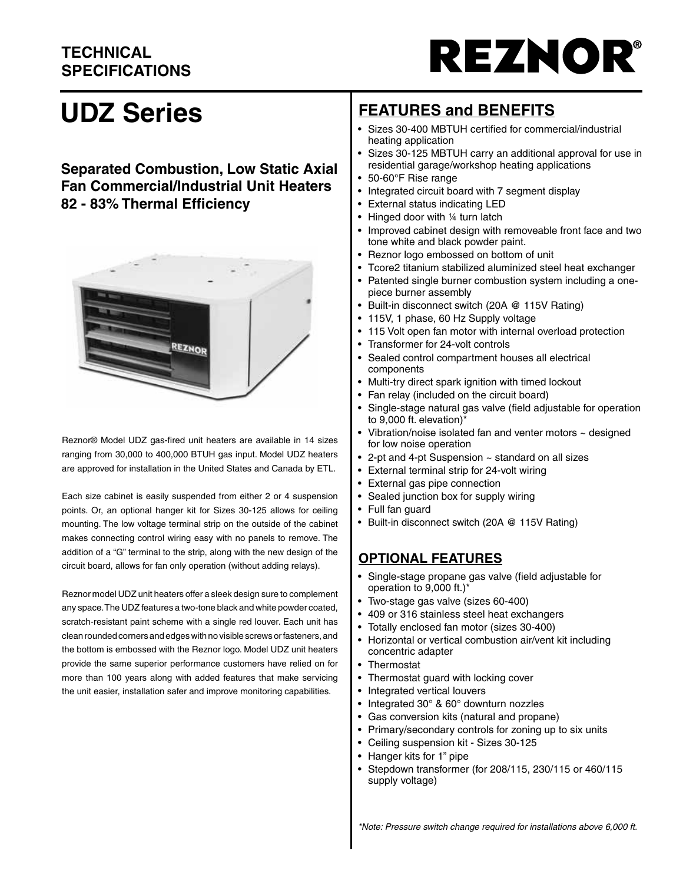# **TECHNICAL SPECIFICATIONS**



# **UDZ Series**

#### **Separated Combustion, Low Static Axial Fan Commercial/Industrial Unit Heaters 82 - 83% Thermal Efficiency**



Reznor® Model UDZ gas-fired unit heaters are available in 14 sizes ranging from 30,000 to 400,000 BTUH gas input. Model UDZ heaters are approved for installation in the United States and Canada by ETL.

Each size cabinet is easily suspended from either 2 or 4 suspension points. Or, an optional hanger kit for Sizes 30-125 allows for ceiling mounting. The low voltage terminal strip on the outside of the cabinet makes connecting control wiring easy with no panels to remove. The addition of a "G" terminal to the strip, along with the new design of the circuit board, allows for fan only operation (without adding relays).

Reznor model UDZ unit heaters offer a sleek design sure to complement any space. The UDZ features a two-tone black and white powder coated, scratch-resistant paint scheme with a single red louver. Each unit has clean rounded corners and edges with no visible screws or fasteners, and the bottom is embossed with the Reznor logo. Model UDZ unit heaters provide the same superior performance customers have relied on for more than 100 years along with added features that make servicing the unit easier, installation safer and improve monitoring capabilities.

# **FEATURES and BENEFITS**

- Sizes 30-400 MBTUH certified for commercial/industrial heating application
- Sizes 30-125 MBTUH carry an additional approval for use in residential garage/workshop heating applications
- 50-60°F Rise range
- Integrated circuit board with 7 segment display
- External status indicating LED
- Hinged door with 1/4 turn latch
- Improved cabinet design with removeable front face and two tone white and black powder paint.
- Reznor logo embossed on bottom of unit
- Tcore2 titanium stabilized aluminized steel heat exchanger
- Patented single burner combustion system including a onepiece burner assembly
- Built-in disconnect switch (20A @ 115V Rating)
- 115V, 1 phase, 60 Hz Supply voltage
- 115 Volt open fan motor with internal overload protection
- Transformer for 24-volt controls
- Sealed control compartment houses all electrical components
- Multi-try direct spark ignition with timed lockout
- Fan relay (included on the circuit board)
- Single-stage natural gas valve (field adjustable for operation to 9,000 ft. elevation)\*
- Vibration/noise isolated fan and venter motors  $\sim$  designed for low noise operation
- 2-pt and 4-pt Suspension ~ standard on all sizes
- External terminal strip for 24-volt wiring
- External gas pipe connection
- Sealed junction box for supply wiring
- Full fan guard
- Built-in disconnect switch (20A @ 115V Rating)

#### **OPTIONAL FEATURES**

- Single-stage propane gas valve (field adjustable for operation to 9,000 ft.)\*
- Two-stage gas valve (sizes 60-400)
- 409 or 316 stainless steel heat exchangers
- Totally enclosed fan motor (sizes 30-400)
- Horizontal or vertical combustion air/vent kit including concentric adapter
- **Thermostat**
- Thermostat guard with locking cover
- Integrated vertical louvers
- Integrated 30° & 60° downturn nozzles
- Gas conversion kits (natural and propane)
- Primary/secondary controls for zoning up to six units
- Ceiling suspension kit Sizes 30-125
- Hanger kits for 1" pipe
- Stepdown transformer (for 208/115, 230/115 or 460/115 supply voltage)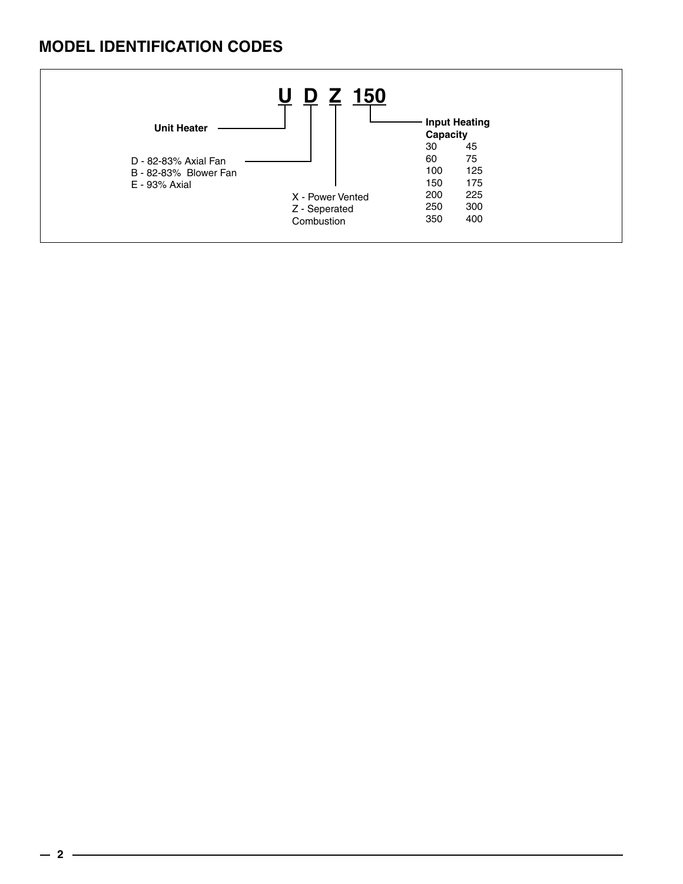# **MODEL IDENTIFICATION CODES**

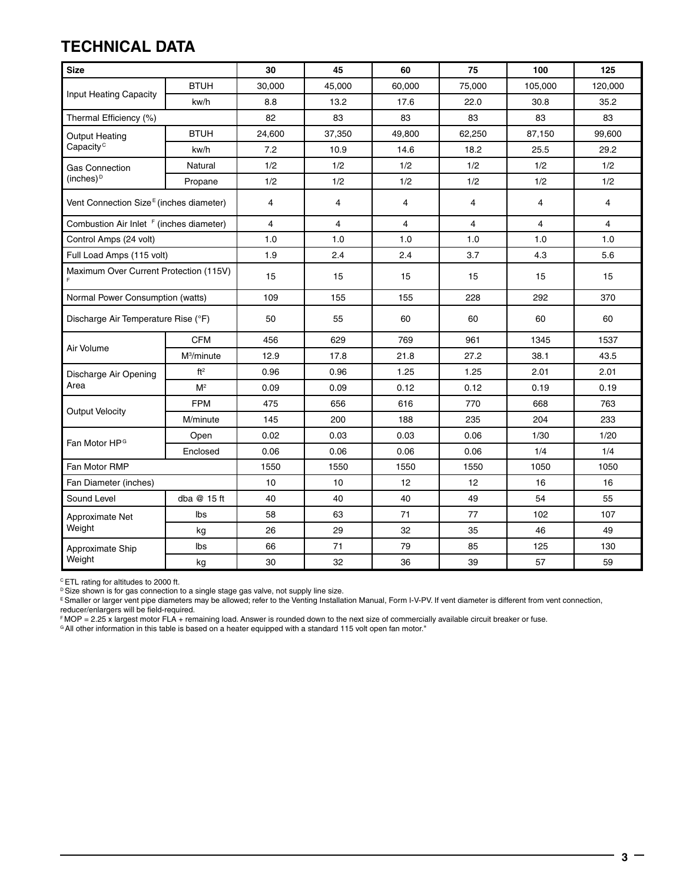# **TECHNICAL DATA**

| <b>Size</b>                                         |                        | 30             | 45             | 60             | 75             | 100            | 125     |  |
|-----------------------------------------------------|------------------------|----------------|----------------|----------------|----------------|----------------|---------|--|
|                                                     | <b>BTUH</b>            | 30,000         | 45,000         | 60,000         | 75,000         | 105,000        | 120,000 |  |
| Input Heating Capacity                              | kw/h                   | 8.8            | 13.2           | 17.6           | 22.0           | 30.8           | 35.2    |  |
| Thermal Efficiency (%)                              |                        | 82             | 83             | 83             | 83             | 83             | 83      |  |
| <b>Output Heating</b>                               | <b>BTUH</b>            | 24,600         | 37,350         | 49,800         | 62,250         | 87,150         | 99,600  |  |
| Capacity <sup>c</sup>                               | kw/h                   | 7.2            | 10.9           | 14.6           | 18.2           | 25.5           | 29.2    |  |
| <b>Gas Connection</b>                               | Natural                | 1/2            | 1/2            | 1/2            | 1/2            | 1/2            | 1/2     |  |
| (inches) $D$                                        | Propane                | 1/2            | 1/2            | 1/2            | 1/2            | 1/2            | 1/2     |  |
| Vent Connection Size <sup>E</sup> (inches diameter) |                        | 4              | $\overline{4}$ | 4              | 4              | 4              | 4       |  |
| Combustion Air Inlet <sup>F</sup> (inches diameter) |                        | $\overline{4}$ | $\overline{4}$ | $\overline{4}$ | $\overline{4}$ | $\overline{4}$ | 4       |  |
| Control Amps (24 volt)                              |                        | 1.0            | 1.0            | 1.0            | 1.0            | 1.0            | 1.0     |  |
| Full Load Amps (115 volt)                           |                        | 1.9            | 2.4            | 2.4            | 3.7            | 4.3            | 5.6     |  |
| Maximum Over Current Protection (115V)              |                        | 15             | 15             | 15             | 15             | 15             | 15      |  |
| Normal Power Consumption (watts)                    |                        | 109            | 155            | 155            | 228            | 292            | 370     |  |
| Discharge Air Temperature Rise (°F)                 |                        | 50             | 55             | 60             | 60             | 60             | 60      |  |
|                                                     | <b>CFM</b>             | 456            | 629            | 769            | 961            | 1345           | 1537    |  |
| Air Volume                                          | M <sup>3</sup> /minute | 12.9           | 17.8           | 21.8           | 27.2           | 38.1           | 43.5    |  |
| Discharge Air Opening                               | ft <sup>2</sup>        | 0.96           | 0.96           | 1.25           | 1.25           | 2.01           | 2.01    |  |
| Area                                                | M <sup>2</sup>         | 0.09           | 0.09           | 0.12           | 0.12           | 0.19           | 0.19    |  |
| <b>Output Velocity</b>                              | <b>FPM</b>             | 475            | 656            | 616            | 770            | 668            | 763     |  |
|                                                     | M/minute               | 145            | 200            | 188            | 235            | 204            | 233     |  |
| Fan Motor HP <sup>G</sup>                           | Open                   | 0.02           | 0.03           | 0.03           | 0.06           | 1/30           | 1/20    |  |
|                                                     | Enclosed               | 0.06           | 0.06           | 0.06           | 0.06           | 1/4            | 1/4     |  |
| Fan Motor RMP                                       |                        | 1550           | 1550           | 1550           | 1550           | 1050           | 1050    |  |
| Fan Diameter (inches)                               |                        | 10             | 10             | 12             | 12             | 16             | 16      |  |
| Sound Level                                         | dba @ 15 ft            | 40             | 40             | 40             | 49             | 54             | 55      |  |
| Approximate Net                                     | Ibs                    | 58             | 63             | 71             | 77             | 102            | 107     |  |
| Weight                                              | kg                     | 26             | 29             | 32             | 35             | 46             | 49      |  |
| Approximate Ship                                    | Ibs                    | 66             | 71             | 79             | 85             | 125            | 130     |  |
| Weight                                              | kg                     | 30             | 32             | 36             | 39             | 57             | 59      |  |

C ETL rating for altitudes to 2000 ft.

 $\mathbb P$  Size shown is for gas connection to a single stage gas valve, not supply line size.

E Smaller or larger vent pipe diameters may be allowed; refer to the Venting Installation Manual, Form I-V-PV. If vent diameter is different from vent connection, reducer/enlargers will be field-required.

F MOP = 2.25 x largest motor FLA + remaining load. Answer is rounded down to the next size of commercially available circuit breaker or fuse.

<sup>G</sup> All other information in this table is based on a heater equipped with a standard 115 volt open fan motor."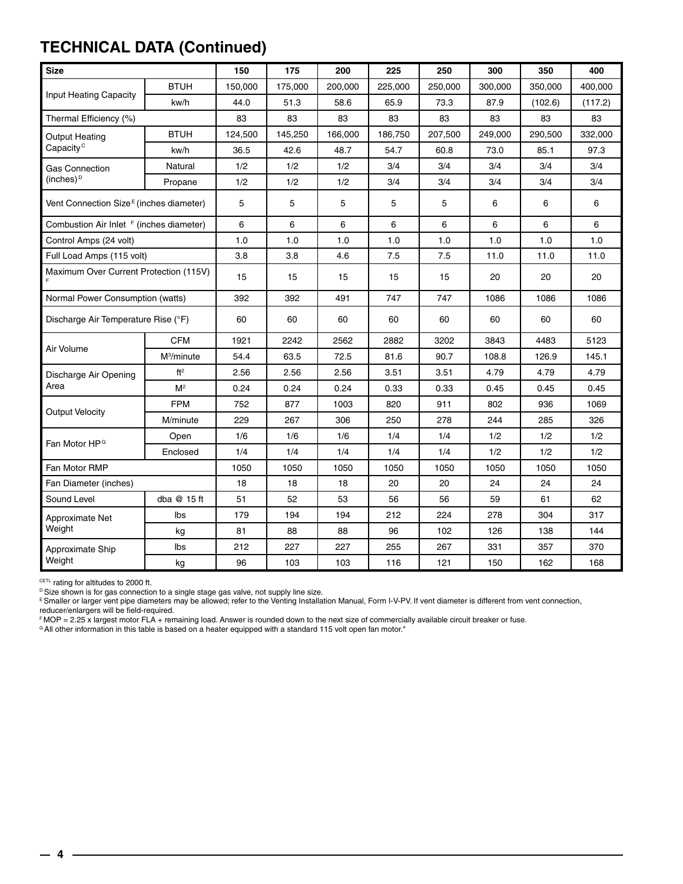# **TECHNICAL DATA (Continued)**

| <b>Size</b>                                         |                        | 150                            | 175     | 200     | 225     | 250     | 300     | 350     | 400     |
|-----------------------------------------------------|------------------------|--------------------------------|---------|---------|---------|---------|---------|---------|---------|
|                                                     | <b>BTUH</b>            | 150,000                        | 175,000 | 200.000 | 225,000 | 250,000 | 300.000 | 350.000 | 400,000 |
| Input Heating Capacity                              | kw/h                   | 44.0                           | 51.3    | 58.6    | 65.9    | 73.3    | 87.9    | (102.6) | (117.2) |
| Thermal Efficiency (%)                              |                        | 83                             | 83      | 83      | 83      | 83      | 83      | 83      | 83      |
| Output Heating                                      | <b>BTUH</b>            | 124,500                        | 145,250 | 166,000 | 186,750 | 207,500 | 249,000 | 290,500 | 332,000 |
| Capacity <sup>c</sup>                               | kw/h                   | 36.5                           | 42.6    | 48.7    | 54.7    | 60.8    | 73.0    | 85.1    | 97.3    |
| <b>Gas Connection</b>                               | Natural                | 1/2                            | 1/2     | 1/2     | 3/4     | 3/4     | 3/4     | 3/4     | 3/4     |
| (inches) <sup>D</sup>                               | Propane                | 1/2                            | 1/2     | 1/2     | 3/4     | 3/4     | 3/4     | 3/4     | 3/4     |
| Vent Connection Size <sup>E</sup> (inches diameter) |                        | 5                              | 5       | 5       | 5       | 5       | 6       | 6       | 6       |
| Combustion Air Inlet <sup>F</sup> (inches diameter) |                        | 6                              | 6       | 6       | 6       | 6       | 6       | 6       | 6       |
| Control Amps (24 volt)                              |                        | 1.0                            | 1.0     | 1.0     | 1.0     | 1.0     | 1.0     | 1.0     | 1.0     |
| Full Load Amps (115 volt)                           |                        | 3.8                            | 3.8     | 4.6     | 7.5     | 7.5     | 11.0    | 11.0    | 11.0    |
| Maximum Over Current Protection (115V)              |                        | 15                             | 15      | 15      | 15      | 15      | 20      | 20      | 20      |
| Normal Power Consumption (watts)                    |                        | 392                            | 392     | 491     | 747     | 747     | 1086    | 1086    | 1086    |
| Discharge Air Temperature Rise (°F)                 |                        | 60                             | 60      | 60      | 60      | 60      | 60      | 60      | 60      |
|                                                     | <b>CFM</b>             | 1921                           | 2242    | 2562    | 2882    | 3202    | 3843    | 4483    | 5123    |
| Air Volume                                          | M <sup>3</sup> /minute | 54.4                           | 63.5    | 72.5    | 81.6    | 90.7    | 108.8   | 126.9   | 145.1   |
| Discharge Air Opening                               | ft <sup>2</sup>        | 2.56                           | 2.56    | 2.56    | 3.51    | 3.51    | 4.79    | 4.79    | 4.79    |
| Area                                                | $M^2$                  | 0.24                           | 0.24    | 0.24    | 0.33    | 0.33    | 0.45    | 0.45    | 0.45    |
| Output Velocity                                     | <b>FPM</b>             | 752                            | 877     | 1003    | 820     | 911     | 802     | 936     | 1069    |
|                                                     | M/minute               | 229                            | 267     | 306     | 250     | 278     | 244     | 285     | 326     |
| Fan Motor HP <sup>G</sup>                           | Open                   | 1/6                            | 1/6     | 1/6     | 1/4     | 1/4     | 1/2     | 1/2     | 1/2     |
|                                                     | Enclosed               | 1/4                            | 1/4     | 1/4     | 1/4     | 1/4     | 1/2     | 1/2     | 1/2     |
| Fan Motor RMP                                       |                        | 1050                           | 1050    | 1050    | 1050    | 1050    | 1050    | 1050    | 1050    |
| Fan Diameter (inches)                               |                        | 18                             | 18      | 18      | 20      | 20      | 24      | 24      | 24      |
| Sound Level                                         | dba @ 15 ft            | 51                             | 52      | 53      | 56      | 56      | 59      | 61      | 62      |
| Approximate Net                                     | lbs                    | 179                            | 194     | 194     | 212     | 224     | 278     | 304     | 317     |
| Weight                                              | kg                     | 81                             | 88      | 88      | 96      | 102     | 126     | 138     | 144     |
| Approximate Ship                                    | Ibs                    | 212                            | 227     | 227     | 255     | 267     | 331     | 357     | 370     |
| Weight                                              | kg                     | 96<br>103<br>103<br>116<br>121 |         |         |         |         | 150     | 162     | 168     |

 $^{\texttt{CETL}}$  rating for altitudes to 2000 ft.

<sup>D</sup> Size shown is for gas connection to a single stage gas valve, not supply line size.

E Smaller or larger vent pipe diameters may be allowed; refer to the Venting Installation Manual, Form I-V-PV. If vent diameter is different from vent connection, reducer/enlargers will be field-required.

F MOP = 2.25 x largest motor FLA + remaining load. Answer is rounded down to the next size of commercially available circuit breaker or fuse.

<sup>G</sup> All other information in this table is based on a heater equipped with a standard 115 volt open fan motor."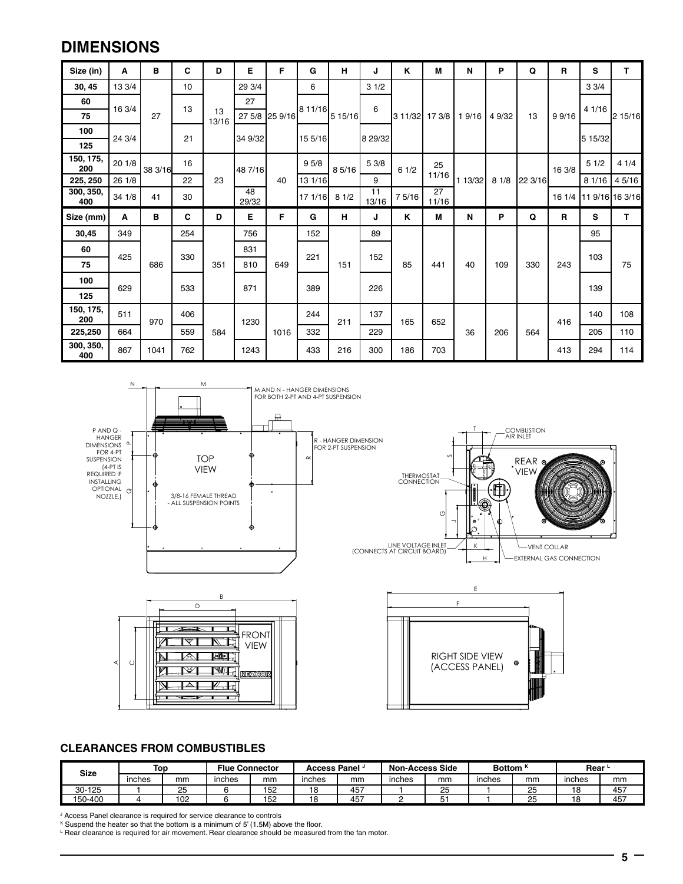### **DIMENSIONS**

| Size (in)        | A      | в       | C   | D           | Е           | F              | G       | н       | J           | Κ              | М           | N       | P      | Q       | R      | s                      | T.      |
|------------------|--------|---------|-----|-------------|-------------|----------------|---------|---------|-------------|----------------|-------------|---------|--------|---------|--------|------------------------|---------|
| 30, 45           | 13 3/4 |         | 10  |             | 29 3/4      |                | 6       |         | 31/2        |                |             |         |        |         |        | 33/4                   |         |
| 60               | 16 3/4 |         | 13  |             | 27          |                | 8 11/16 |         | 6           |                |             |         |        |         |        | 4 1/16                 |         |
| 75               |        | 27      |     | 13<br>13/16 |             | 27 5/8 25 9/16 |         | 5 15/16 |             | 3 11/32 17 3/8 |             | 19/16   | 4 9/32 | 13      | 9 9/16 |                        | 2 15/16 |
| 100              | 24 3/4 |         | 21  |             | 34 9/32     |                | 15 5/16 |         | 8 29/32     |                |             |         |        |         |        | 5 15/32                |         |
| 125              |        |         |     |             |             |                |         |         |             |                |             |         |        |         |        |                        |         |
| 150, 175,<br>200 | 20 1/8 | 38 3/16 | 16  |             | 48 7/16     |                | 95/8    | 85/16   | 5 3/8       | 61/2           | 25          |         |        |         | 16 3/8 | 51/2                   | 41/4    |
| 225, 250         | 26 1/8 |         | 22  | 23          |             | 40             | 13 1/16 |         | 9           |                | 11/16       | 1 13/32 | 81/8   | 22 3/16 |        | 8 1/16                 | 4 5/16  |
| 300, 350,<br>400 | 34 1/8 | 41      | 30  |             | 48<br>29/32 |                | 17 1/16 | 81/2    | 11<br>13/16 | 7 5/16         | 27<br>11/16 |         |        |         |        | 16 1/4 11 9/16 16 3/16 |         |
| Size (mm)        | Α      | в       | C   | D           | Е           | F              | G       | н       | J           | Κ              | M           | N       | P      | Q       | R      | s                      | T       |
| 30,45            | 349    |         | 254 |             | 756         |                | 152     |         | 89          |                |             |         |        |         |        | 95                     |         |
| 60               | 425    |         | 330 |             | 831         |                | 221     |         | 152         |                |             |         |        |         |        | 103                    |         |
| 75               |        | 686     |     | 351         | 810         | 649            |         | 151     |             | 85             | 441         | 40      | 109    | 330     | 243    |                        | 75      |
| 100              | 629    |         |     |             | 871         |                | 389     |         |             |                |             |         |        |         |        |                        |         |
| 125              |        |         | 533 |             |             |                |         |         | 226         |                |             |         |        |         |        | 139                    |         |
| 150, 175,<br>200 | 511    | 970     | 406 |             | 1230        |                | 244     | 211     | 137         | 165            | 652         |         |        |         | 416    | 140                    | 108     |
| 225,250          | 664    |         | 559 | 584         |             | 1016           | 332     |         | 229         |                |             | 36      | 206    | 564     |        | 205                    | 110     |
| 300, 350,<br>400 | 867    | 1041    | 762 |             | 1243        |                | 433     | 216     | 300         | 186            | 703         |         |        |         | 413    | 294                    | 114     |



| <b>Size</b> | <b>Top</b> |     | <b>Flue Connector</b> |    | <b>Access Panel</b> * |     | <b>Non-Access Side</b> |         | Bottom <sup>k</sup> |    | Rear <b>b</b> |     |  |  |
|-------------|------------|-----|-----------------------|----|-----------------------|-----|------------------------|---------|---------------------|----|---------------|-----|--|--|
|             | inches     | mm  | inches                | mm | inches                | mm  | inches                 | mm      | inches              | mm | inches        | mm  |  |  |
| 30-125      |            | 25  |                       | 52 |                       | 457 |                        | 25      |                     | 25 | 18            | 457 |  |  |
| 150-400     |            | 102 | '52                   |    | 4 C                   | 457 |                        | $\cdot$ |                     | 25 | 10<br>، ت     | 457 |  |  |

J Access Panel clearance is required for service clearance to controls

K Suspend the heater so that the bottom is a minimum of 5' (1.5M) above the floor.

L Rear clearance is required for air movement. Rear clearance should be measured from the fan motor.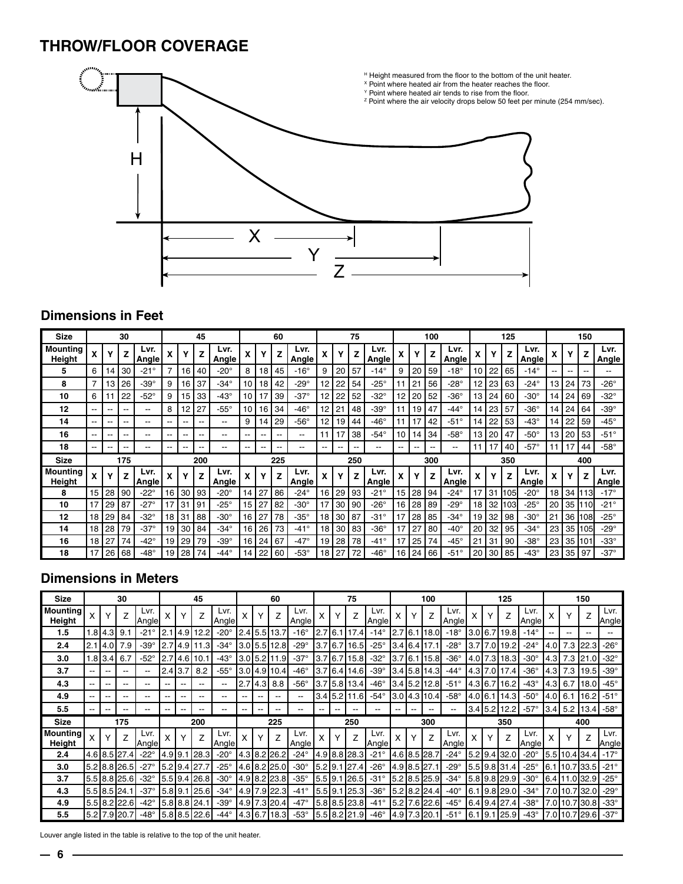## **THROW/FLOOR COVERAGE**



#### **Dimensions in Feet**

| <b>Size</b>               |                          |                 | 30                       |               |     |                          | 45  |                |                          |     | 60    |                |                 |    | 75                       |                |    |    | 100                      |                |    |    | 125  |                |     |      | 150     |                |
|---------------------------|--------------------------|-----------------|--------------------------|---------------|-----|--------------------------|-----|----------------|--------------------------|-----|-------|----------------|-----------------|----|--------------------------|----------------|----|----|--------------------------|----------------|----|----|------|----------------|-----|------|---------|----------------|
| <b>Mounting</b><br>Height |                          |                 | z                        | Lvr.<br>Angle | χ   |                          |     | Lvr.<br>Angle  | χ                        |     | Z     | Lvr.<br>Angle  |                 |    | z                        | Lvr.<br>Angle  |    |    | Z                        | Lvr.<br>Angle  |    |    | Z    | Lvr.<br>Angle  |     |      |         | Lvr.<br>Angle  |
| 5                         | 6                        | 14              | 30                       | $-21^\circ$   |     | 16                       | 40  | $-20^\circ$    | 8                        | 18  | 45    | $-16^\circ$    | 9               | 20 | 57                       | $-14^\circ$    | 9  | 20 | 59                       | $-18^\circ$    | 10 | 22 | 65   | $-14^\circ$    |     | --   |         | --             |
| 8                         | 7                        | 13 <sub>1</sub> | 26                       | $-39^\circ$   | 9   | 16                       | 37  | $-34^\circ$    | 10                       | 18  | 42    | -29 $^{\circ}$ | 12              | 22 | 54                       | -25 $^{\circ}$ |    | 21 | 56                       | -28 $^{\circ}$ | 12 | 23 | 63   | -24°           | 13  | 24   | 73      | -26 $^{\circ}$ |
| 10                        | 6                        |                 | 22                       | $-52^\circ$   | 9   | 15                       | 33  | $-43^\circ$    | 10                       | 17  | 39    | -37 $^{\circ}$ | 12              | 22 | 52                       | $-32^\circ$    | 12 | 20 | 52                       | $-36^\circ$    | 13 | 24 | 60   | -30°           | 14  | 24 I | 69      | -32 $^{\circ}$ |
| 12                        | $- -$                    |                 | $- -$                    | $- -$         | 8   | 12                       | 27  | $-55^\circ$    | 10                       | 16  | 34    | $-46^\circ$    | 12              | 21 | 48                       | $-39^\circ$    |    | 19 | 47                       | $-44^\circ$    | 14 | 23 | 57   | -36°           | 14  | 24   | 64      | -39 $^{\circ}$ |
| 14                        | --                       | --              | --                       | --            | $-$ | --                       | --  | --             | 9                        | 14  | 29    | $-56^\circ$    | 12              | 19 | 44                       | $-46^\circ$    | 11 | 17 | 42                       | $-51^\circ$    | 14 | 22 | 53   | -43 $^{\circ}$ | 14  | 22   | 59      | -45 $^{\circ}$ |
| 16                        | $-$                      |                 | --                       | --            | $-$ | --                       | --  | --             | $\overline{\phantom{a}}$ | --  | $-$   | $- -$          | 11              | 17 | 38                       | $-54^\circ$    | 10 | 14 | 34                       | $-58^\circ$    | 13 | 20 | 47   | $-50^\circ$    | 13. | 20   | 53      | $-51^\circ$    |
| 18                        | $\overline{\phantom{a}}$ | --              | $\overline{\phantom{m}}$ | --            | $-$ | $\overline{\phantom{a}}$ | --  | --             | $\overline{\phantom{m}}$ | $-$ | $- -$ | $- -$          | $- -$           | -- | $\overline{\phantom{a}}$ | --             | -- | -- | $\overline{\phantom{a}}$ | --             |    | 17 | 40   | $-57^\circ$    |     | 17   | 44      | $-58^\circ$    |
| <b>Size</b>               |                          |                 | 175                      |               |     |                          | 200 |                |                          |     | 225   |                |                 |    | 250                      |                |    |    | 300                      |                |    |    | 350  |                |     |      | 400     |                |
| <b>Mounting</b><br>Height |                          |                 | z                        | Lvr.<br>Angle | x   |                          | Z   | Lvr.<br>Angle  | x                        |     | z     | Lvr.<br>Angle  | X               |    | Z                        | Lvr.<br>Angle  |    |    | 7                        | Lvr.<br>Angle  |    |    | Z    | Lvr.<br>Angle  |     |      |         | Lvr.<br>Angle  |
| 8                         | 15                       | 28              | 90                       | $-22^\circ$   | 16  | 30                       | 93  | $-20^\circ$    | 14                       | 27  | 86    | $-24^\circ$    | 16              | 29 | 93                       | $-21^\circ$    | 15 | 28 | 94                       | -24 $^{\circ}$ |    | 31 | 105  | $-20^\circ$    | 18  | 34   | 1113    | $-17^\circ$    |
| 10                        | 17                       | 29              | 87                       | $-27^\circ$   | 17  | 31                       | 91  | -25 $^{\circ}$ | 15                       | 27  | 82    | $-30^\circ$    | 17              | 30 | 90                       | $-26^\circ$    | 16 | 28 | 89                       | -29°           | 18 | 32 | 1103 | -25 $^{\circ}$ | 20  | 35   | 1110    | $-21^\circ$    |
| 12                        | 18 <sup>1</sup>          | 29              | 84                       | $-32^\circ$   | 18  | 31                       | 88  | $-30^\circ$    | 16 <sup>1</sup>          | 27  | 78    | $-35^\circ$    | 18 <sup>1</sup> | 30 | 87                       | $-31^\circ$    | 17 | 28 | 85                       | $-34^\circ$    | 19 | 32 | 98   | -30°           | 21  |      | 36 1108 | $-25^\circ$    |
| 14                        | 18 <sup>1</sup>          | 28              | 79                       | $-37^\circ$   | 19  | 30                       | 84  | $-34^\circ$    | 16                       | 26  | 73    | $-41^\circ$    | 18              | 30 | 83                       | $-36^\circ$    | 17 | 27 | 80                       | $-40^\circ$    | 20 | 32 | 95   | $-34^\circ$    | 23  |      | 35 105  | $-29^\circ$    |
| 16                        | 18 <sup>1</sup>          | 27              | 74                       | -42°          | 19  | 29                       | 79  | $-39^\circ$    | 16                       | 24  | 67    | -47 $^{\circ}$ | 19              | 28 | 78                       | $-41^\circ$    | 17 | 25 | 74                       | $-45^\circ$    | 21 | 31 | 90   | -38°           | 23  |      | 35 101  | $-33^\circ$    |
| 18                        | 17                       | 26              | 68                       | $-48^\circ$   | 19  | 28                       | 74  | -44°           | 14                       | 22  | 60    | -53°           | 18              | 27 | 72                       | $-46^\circ$    | 16 | 24 | 66                       | -51°           | 20 | 30 | 85   | $-43^\circ$    | 23  | 35 I | 97      | $-37^\circ$    |

#### **Dimensions in Meters**

| <b>Size</b>               |                          |                | 30           |                |         |       | 45           |                          |    |       | 60                       |                |         | 75             |                |       |      | 100              |                |           |      | 125            |                |        |                  | 150                |               |
|---------------------------|--------------------------|----------------|--------------|----------------|---------|-------|--------------|--------------------------|----|-------|--------------------------|----------------|---------|----------------|----------------|-------|------|------------------|----------------|-----------|------|----------------|----------------|--------|------------------|--------------------|---------------|
| <b>Mounting</b><br>Height | х                        |                |              | Lvr.<br>Angle  |         |       | Z            | Lvr.<br>Angle            |    |       |                          | Lvr.<br>Angle  |         |                | Lvr.<br>Anglel |       |      | Z                | Lvr.<br>Angle  |           |      |                | Lvr.<br>Angle  |        |                  | Z                  | Lvr.<br>Angle |
| 1.5                       |                          | .8 4.3 9.1     |              | $-21^\circ$    |         | 4.9   | 12.2         | $-20^\circ$              |    |       | $2.4$ 5.5 13.7           | $-16^\circ$    | 2.716.1 | 117.4          | $-14^\circ$    | 2.7   | 16.7 | 118.0            | $-18^\circ$    | 3.0       |      | 6.7119.8       | $-14^\circ$    |        | --               | $- -$              |               |
| 2.4                       | 2.1                      | 4.0            | 7.9          | $-39^\circ$    | 2.7     | 4.9   | 11.3         | -34 $^{\circ}$           |    |       | $3.0$ 5.5 12.8           | -29 $^{\circ}$ |         | 3.7 6.7 16.5   | -25 $^{\circ}$ |       |      | 3.4 6.4 17.1     | -28 $^{\circ}$ |           |      | $3.7$ 7.0 19.2 | $-24^\circ$    | 4.0    | 7.3              | 22.3               | $-26^\circ$   |
| 3.0                       |                          | 1.8 3.4        | 6.7          | $-52^\circ$    | 2.7     | 4.6   | 10.1         | -43 $^{\circ}$           |    |       | $3.0$ [5.2][11.9]        | $-37^\circ$    |         | 3.7 6.7 15.8   | $-32^\circ$    | $3.7$ | 6.1  | 15.8             | $-36^\circ$    |           |      | 4.0 7.3 18.3   | $-30^\circ$    | 4.3    | 7.3              | 21.0               | $-32^\circ$   |
| 3.7                       | $\qquad \qquad -$        | $- -$          |              | --             | 2.4     | 13.7  | 8.2          | -55 $^{\circ}$           |    |       | $3.0$   4.9   10.4       | $-46^\circ$    |         | 3.7 6.4 14.6   | $-39^\circ$    |       |      | 3.4 5.8 14.3     | -44 $^{\circ}$ |           |      | 4.3 7.0 17.4   | $-36^\circ$    | 14.3 l | 7.3              | 19.5               | $-39^\circ$   |
| 4.3                       | $-$                      | --             | --           | --             | $- -$   | $-$   | $-$          | $-$                      |    |       | $2.7$ 4.3 8.8            | $-56^\circ$    |         | 3.7 5.8 13.4   | $-46^\circ$    |       |      | 3.4 5.2 12.8     | $-51^\circ$    |           |      | 4.3 6.7 16.2   | -43 $^{\circ}$ | 14.3 I | 6.7              | 18.0               | $-45^\circ$   |
| 4.9                       | $-$                      | --             | --           | --             | --      | $-$   | --           | --                       | -- | $- -$ | $- -$                    | $- -$          |         | $3.4$ 5.2 11.6 | $-54^\circ$    |       |      | 3.0 4.3 10.4     | $-58^\circ$    | 4.0 6.1   |      | 14.3           | $-50^\circ$    | 4.0    | 6.1              | 16.2               | $-51^\circ$   |
| 5.5                       | $\overline{\phantom{a}}$ |                | --           |                | --      | $- -$ | --           | $\overline{\phantom{m}}$ |    | $- -$ | $\overline{\phantom{a}}$ | $- -$          |         | $- -$          | --             |       |      |                  |                |           |      | 3.4 5.2 12.2   | $-57^\circ$    | 3.4    |                  | $5.2$   13.4       | $-58^\circ$   |
| <b>Size</b>               |                          |                | 175          |                |         |       | 200          |                          |    |       | 225                      |                |         | 250            |                |       |      | 300              |                |           |      | 350            |                |        |                  | 400                |               |
| <b>Mounting</b><br>Height | X                        |                |              | Lvr.<br>Angle! |         |       | Z            | Lvr.<br> Angle           |    |       |                          | Lvr.<br>Angle  |         | Z              | Lvr.<br>Angle  |       |      |                  | Lvr.<br>Angle  |           |      |                | Lvr.<br>Angle  |        |                  |                    | Lvr.<br>Angle |
| 2.4                       |                          |                | 4.6 8.5 27.4 | $-22^\circ$    | 4.9 9.1 |       | 28.3         | -20 $^{\circ}$           |    |       | 4.3 8.2 26.2             | $-24^\circ$    |         | 4.9 8.8 28.3   | $-21^\circ$    |       |      | 4.6 8.5 28.7     | $-24^\circ$    | $5.2$ 9.4 |      | 32.0           | -20 $^{\circ}$ |        | 5.5 10.4 34.4    |                    | $-17^\circ$   |
| 3.0                       |                          |                | 5.2 8.8 26.5 | $-27^\circ$    |         |       | 5.2 9.4 27.7 | $-25^\circ$              |    |       | 4.6 8.2 25.0             | $-30^\circ$    |         | 5.2 9.1 27.4   | $-26^\circ$    |       |      | 4.9   8.5   27.1 | -29 $^{\circ}$ |           |      | 5.5 9.8 31.4   | $-25^\circ$    |        |                  | 16.1   10.7   33.5 | $-21^\circ$   |
| 3.7                       |                          |                | 5.5 8.8 25.6 | $-32^\circ$    |         |       | 5.5 9.4 26.8 | $-30^\circ$              |    |       | 4.9 8.2 23.8             | $-35^\circ$    | 5.519.1 | 26.5           | $-31^\circ$    |       |      | 5.2 8.5 25.9     | $-34^\circ$    |           |      | 5.8 9.8 29.9   | $-30^\circ$    |        | 6.4  11.0   32.9 |                    | $-25^\circ$   |
| 4.3                       |                          | $5.5$ 8.5 24.1 |              | $-37^\circ$    |         |       | 5.8 9.1 25.6 | -34 $^{\circ}$           |    |       | 4.9 7.9 22.3             | $-41^\circ$    |         | 5.5 9.1 25.3   | $-36^\circ$    |       |      | 5.2 8.2 24.4     | $-40^\circ$    |           |      | 6.1 9.8 29.0   | $-34^\circ$    |        | 7.0 10.7 32.0    |                    | $-29^\circ$   |
| 4.9                       |                          |                | 5.5 8.2 22.6 | -42 $^{\circ}$ |         |       | 5.8 8.8 24.1 | $-39^\circ$              |    |       | 4.9 7.3 20.4             | $-47^\circ$    |         | 5.8 8.5 23.8   | $-41^\circ$    |       |      | 5.2   7.6   22.6 | $-45^\circ$    |           |      | 6.4 9.4 27.4   | $-38^\circ$    |        |                  | 7.0 10.7 30.8      | $-33^\circ$   |
| 5.5                       |                          |                | 5.2 7.9 20.7 | $-48^\circ$    |         |       | 5.8 8.5 22.6 | -44 $^{\circ}$           |    |       | 4.3 6.7 18.3             | $-53^\circ$    |         | 5.5 8.2 21.9   | $-46^\circ$    |       |      | 4.9 7.3 20.1     | $-51^\circ$    | I6.1      | 19.1 | 25.9           | $-43^\circ$    |        |                  | l7.0110.7129.61    | $-37^\circ$   |

Louver angle listed in the table is relative to the top of the unit heater.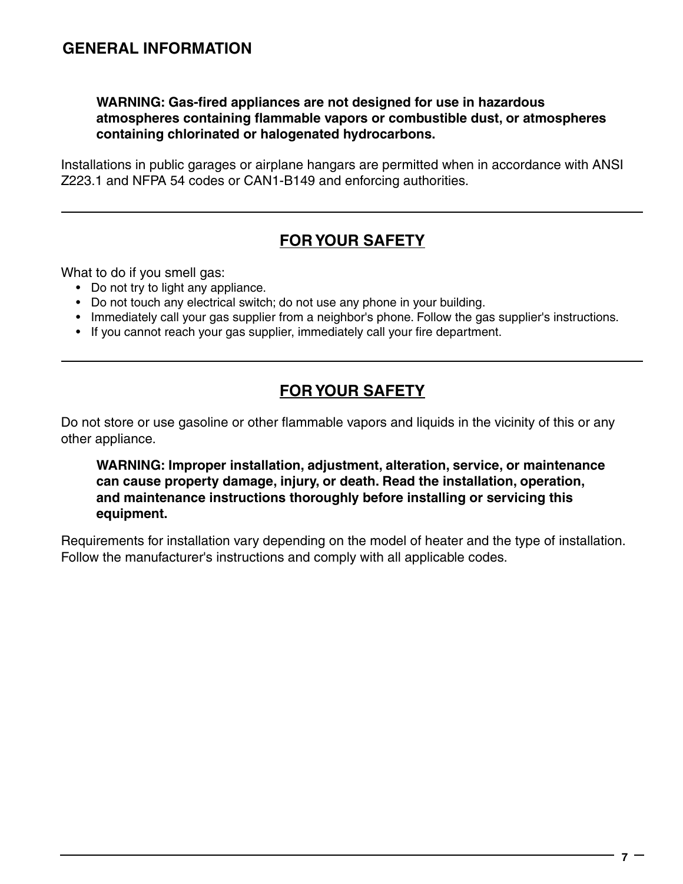#### **WARNING: Gas-fired appliances are not designed for use in hazardous atmospheres containing flammable vapors or combustible dust, or atmospheres containing chlorinated or halogenated hydrocarbons.**

Installations in public garages or airplane hangars are permitted when in accordance with ANSI Z223.1 and NFPA 54 codes or CAN1-B149 and enforcing authorities.

# **FOR YOUR SAFETY**

What to do if you smell gas:

- Do not try to light any appliance.
- Do not touch any electrical switch; do not use any phone in your building.
- Immediately call your gas supplier from a neighbor's phone. Follow the gas supplier's instructions.
- If you cannot reach your gas supplier, immediately call your fire department.

# **FOR YOUR SAFETY**

Do not store or use gasoline or other flammable vapors and liquids in the vicinity of this or any other appliance.

**WARNING: Improper installation, adjustment, alteration, service, or maintenance can cause property damage, injury, or death. Read the installation, operation, and maintenance instructions thoroughly before installing or servicing this equipment.**

Requirements for installation vary depending on the model of heater and the type of installation. Follow the manufacturer's instructions and comply with all applicable codes.